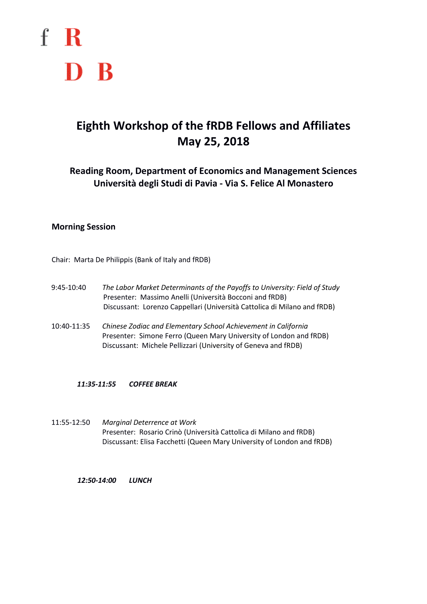

# **Eighth Workshop of the fRDB Fellows and Affiliates May 25, 2018**

**Reading Room, Department of Economics and Management Sciences Università degli Studi di Pavia - Via S. Felice Al Monastero**

### **Morning Session**

Chair: Marta De Philippis (Bank of Italy and fRDB)

- 9:45-10:40 *The Labor Market Determinants of the Payoffs to University: Field of Study* Presenter: Massimo Anelli (Università Bocconi and fRDB) Discussant: Lorenzo Cappellari (Università Cattolica di Milano and fRDB)
- 10:40-11:35 *Chinese Zodiac and Elementary School Achievement in California* Presenter: Simone Ferro (Queen Mary University of London and fRDB) Discussant: Michele Pellizzari (University of Geneva and fRDB)

#### *11:35-11:55 COFFEE BREAK*

11:55-12:50 *Marginal Deterrence at Work* Presenter: Rosario Crinò (Università Cattolica di Milano and fRDB) Discussant: Elisa Facchetti (Queen Mary University of London and fRDB)

*12:50-14:00 LUNCH*